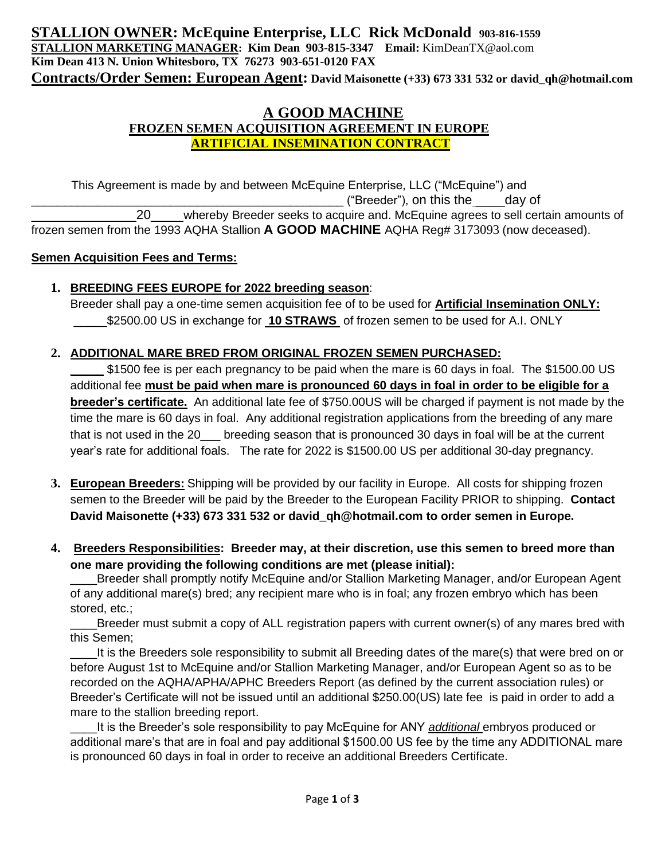# **A GOOD MACHINE FROZEN SEMEN ACQUISITION AGREEMENT IN EUROPE ARTIFICIAL INSEMINATION CONTRACT**

 This Agreement is made by and between McEquine Enterprise, LLC ("McEquine") and \_\_\_\_\_\_\_\_\_\_\_\_\_\_\_\_\_\_\_\_\_\_\_\_\_\_\_\_\_\_\_\_\_\_\_\_\_\_\_\_\_\_\_\_\_\_\_ ("Breeder"), on this the \_\_\_\_day of 20\_\_\_\_\_\_ whereby Breeder seeks to acquire and. McEquine agrees to sell certain amounts of frozen semen from the 1993 AQHA Stallion **A GOOD MACHINE** AQHA Reg# 3173093 (now deceased).

### **Semen Acquisition Fees and Terms:**

## **1. BREEDING FEES EUROPE for 2022 breeding season**:

Breeder shall pay a one-time semen acquisition fee of to be used for **Artificial Insemination ONLY:** \_\_\_\_\_\$2500.00 US in exchange for **10 STRAWS** of frozen semen to be used for A.I. ONLY

## **2. ADDITIONAL MARE BRED FROM ORIGINAL FROZEN SEMEN PURCHASED:**

**\_\_\_\_\_** \$1500 fee is per each pregnancy to be paid when the mare is 60 days in foal. The \$1500.00 US additional fee **must be paid when mare is pronounced 60 days in foal in order to be eligible for a breeder's certificate.** An additional late fee of \$750.00US will be charged if payment is not made by the time the mare is 60 days in foal. Any additional registration applications from the breeding of any mare that is not used in the 20\_\_\_ breeding season that is pronounced 30 days in foal will be at the current year's rate for additional foals. The rate for 2022 is \$1500.00 US per additional 30-day pregnancy.

- **3. European Breeders:** Shipping will be provided by our facility in Europe. All costs for shipping frozen semen to the Breeder will be paid by the Breeder to the European Facility PRIOR to shipping. **Contact David Maisonette (+33) 673 331 532 or david\_qh@hotmail.com to order semen in Europe.**
- **4. Breeders Responsibilities: Breeder may, at their discretion, use this semen to breed more than one mare providing the following conditions are met (please initial):**

Breeder shall promptly notify McEquine and/or Stallion Marketing Manager, and/or European Agent of any additional mare(s) bred; any recipient mare who is in foal; any frozen embryo which has been stored, etc.;

Breeder must submit a copy of ALL registration papers with current owner(s) of any mares bred with this Semen;

It is the Breeders sole responsibility to submit all Breeding dates of the mare(s) that were bred on or before August 1st to McEquine and/or Stallion Marketing Manager, and/or European Agent so as to be recorded on the AQHA/APHA/APHC Breeders Report (as defined by the current association rules) or Breeder's Certificate will not be issued until an additional \$250.00(US) late fee is paid in order to add a mare to the stallion breeding report.

\_\_\_\_It is the Breeder's sole responsibility to pay McEquine for ANY *additional* embryos produced or additional mare's that are in foal and pay additional \$1500.00 US fee by the time any ADDITIONAL mare is pronounced 60 days in foal in order to receive an additional Breeders Certificate.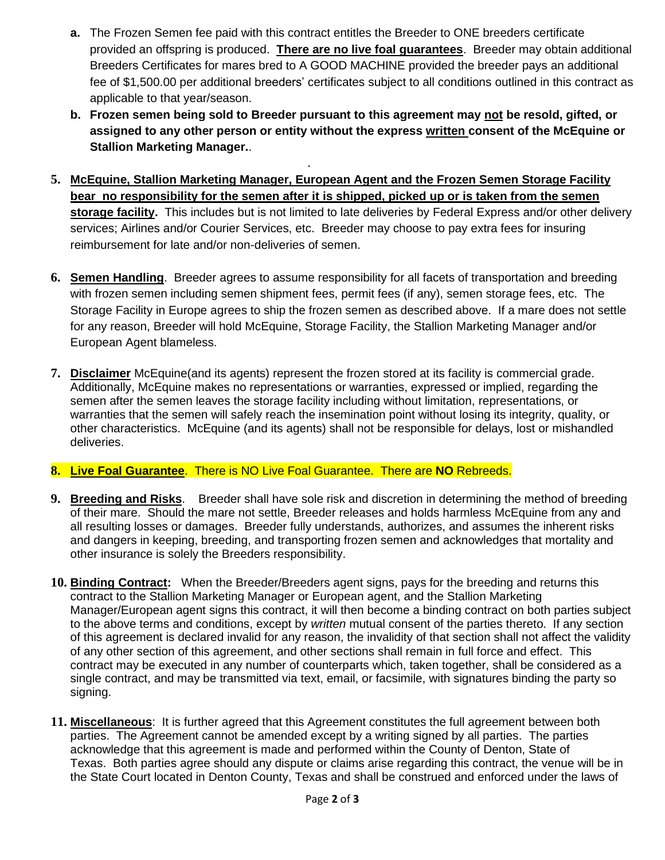- **a.** The Frozen Semen fee paid with this contract entitles the Breeder to ONE breeders certificate provided an offspring is produced. **There are no live foal guarantees**. Breeder may obtain additional Breeders Certificates for mares bred to A GOOD MACHINE provided the breeder pays an additional fee of \$1,500.00 per additional breeders' certificates subject to all conditions outlined in this contract as applicable to that year/season.
- **b. Frozen semen being sold to Breeder pursuant to this agreement may not be resold, gifted, or assigned to any other person or entity without the express written consent of the McEquine or Stallion Marketing Manager.**.
- **5. McEquine, Stallion Marketing Manager, European Agent and the Frozen Semen Storage Facility bear no responsibility for the semen after it is shipped, picked up or is taken from the semen storage facility.** This includes but is not limited to late deliveries by Federal Express and/or other delivery services; Airlines and/or Courier Services, etc. Breeder may choose to pay extra fees for insuring reimbursement for late and/or non-deliveries of semen.
- **6. Semen Handling**. Breeder agrees to assume responsibility for all facets of transportation and breeding with frozen semen including semen shipment fees, permit fees (if any), semen storage fees, etc. The Storage Facility in Europe agrees to ship the frozen semen as described above. If a mare does not settle for any reason, Breeder will hold McEquine, Storage Facility, the Stallion Marketing Manager and/or European Agent blameless.
- **7. Disclaimer** McEquine(and its agents) represent the frozen stored at its facility is commercial grade. Additionally, McEquine makes no representations or warranties, expressed or implied, regarding the semen after the semen leaves the storage facility including without limitation, representations, or warranties that the semen will safely reach the insemination point without losing its integrity, quality, or other characteristics. McEquine (and its agents) shall not be responsible for delays, lost or mishandled deliveries.

### **8. Live Foal Guarantee**. There is NO Live Foal Guarantee. There are **NO** Rebreeds.

.

- **9. Breeding and Risks**. Breeder shall have sole risk and discretion in determining the method of breeding of their mare. Should the mare not settle, Breeder releases and holds harmless McEquine from any and all resulting losses or damages. Breeder fully understands, authorizes, and assumes the inherent risks and dangers in keeping, breeding, and transporting frozen semen and acknowledges that mortality and other insurance is solely the Breeders responsibility.
- **10. Binding Contract:** When the Breeder/Breeders agent signs, pays for the breeding and returns this contract to the Stallion Marketing Manager or European agent, and the Stallion Marketing Manager/European agent signs this contract, it will then become a binding contract on both parties subject to the above terms and conditions, except by *written* mutual consent of the parties thereto. If any section of this agreement is declared invalid for any reason, the invalidity of that section shall not affect the validity of any other section of this agreement, and other sections shall remain in full force and effect. This contract may be executed in any number of counterparts which, taken together, shall be considered as a single contract, and may be transmitted via text, email, or facsimile, with signatures binding the party so signing.
- **11. Miscellaneous**: It is further agreed that this Agreement constitutes the full agreement between both parties. The Agreement cannot be amended except by a writing signed by all parties. The parties acknowledge that this agreement is made and performed within the County of Denton, State of Texas. Both parties agree should any dispute or claims arise regarding this contract, the venue will be in the State Court located in Denton County, Texas and shall be construed and enforced under the laws of